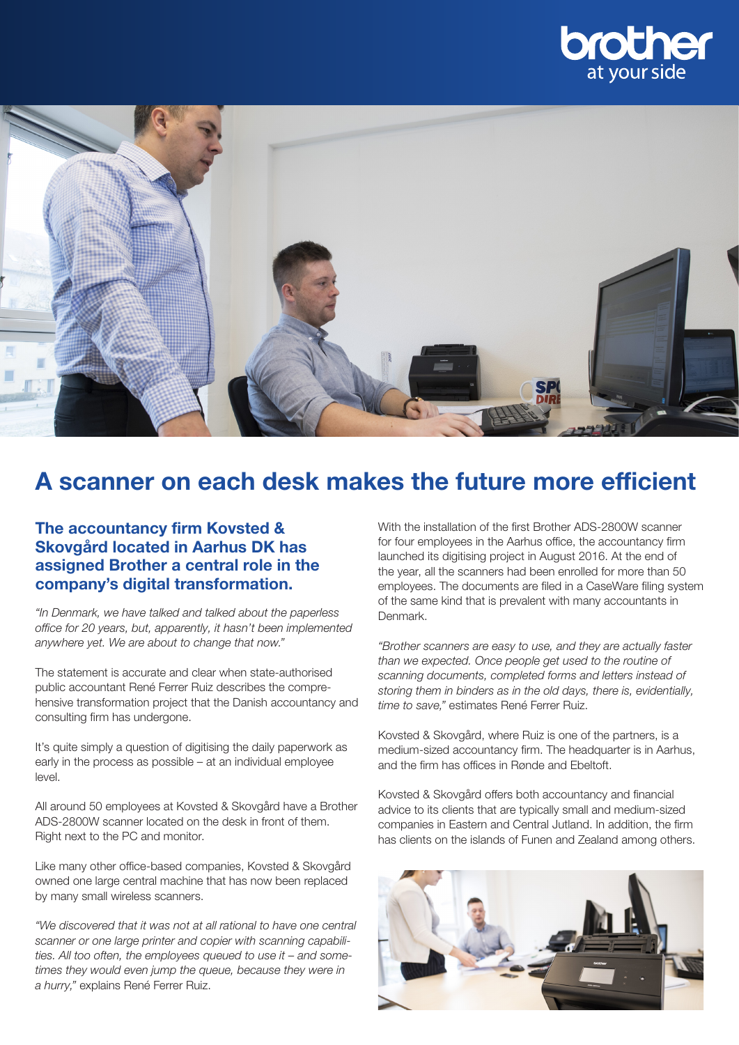



# A scanner on each desk makes the future more efficient

## The accountancy firm Kovsted & Skovgård located in Aarhus DK has assigned Brother a central role in the company's digital transformation.

*"In Denmark, we have talked and talked about the paperless office for 20 years, but, apparently, it hasn't been implemented anywhere yet. We are about to change that now."*

The statement is accurate and clear when state-authorised public accountant René Ferrer Ruiz describes the comprehensive transformation project that the Danish accountancy and consulting firm has undergone.

It's quite simply a question of digitising the daily paperwork as early in the process as possible – at an individual employee level.

All around 50 employees at Kovsted & Skovgård have a Brother ADS-2800W scanner located on the desk in front of them. Right next to the PC and monitor.

Like many other office-based companies, Kovsted & Skovgård owned one large central machine that has now been replaced by many small wireless scanners.

*"We discovered that it was not at all rational to have one central scanner or one large printer and copier with scanning capabilities. All too often, the employees queued to use it – and sometimes they would even jump the queue, because they were in a hurry,"* explains René Ferrer Ruiz.

With the installation of the first Brother ADS-2800W scanner for four employees in the Aarhus office, the accountancy firm launched its digitising project in August 2016. At the end of the year, all the scanners had been enrolled for more than 50 employees. The documents are filed in a CaseWare filing system of the same kind that is prevalent with many accountants in Denmark.

*"Brother scanners are easy to use, and they are actually faster than we expected. Once people get used to the routine of scanning documents, completed forms and letters instead of storing them in binders as in the old days, there is, evidentially, time to save,"* estimates René Ferrer Ruiz.

Kovsted & Skovgård, where Ruiz is one of the partners, is a medium-sized accountancy firm. The headquarter is in Aarhus, and the firm has offices in Rønde and Ebeltoft.

Kovsted & Skovgård offers both accountancy and financial advice to its clients that are typically small and medium-sized companies in Eastern and Central Jutland. In addition, the firm has clients on the islands of Funen and Zealand among others.